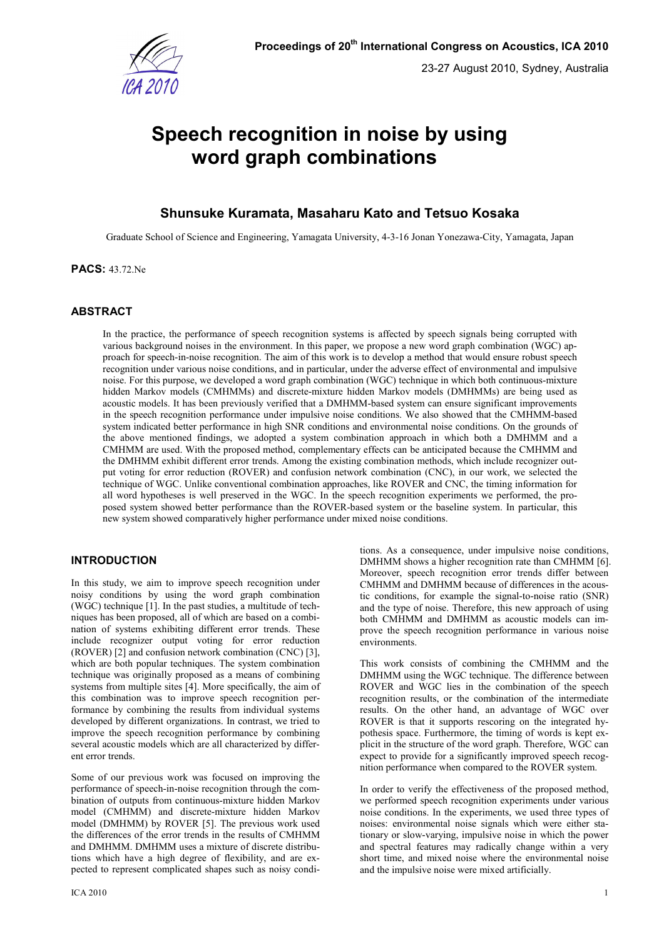

# **Speech recognition in noise by using word graph combinations**

## **Shunsuke Kuramata, Masaharu Kato and Tetsuo Kosaka**

Graduate School of Science and Engineering, Yamagata University, 4-3-16 Jonan Yonezawa-City, Yamagata, Japan

**PACS:** 43.72.Ne

## **ABSTRACT**

In the practice, the performance of speech recognition systems is affected by speech signals being corrupted with various background noises in the environment. In this paper, we propose a new word graph combination (WGC) approach for speech-in-noise recognition. The aim of this work is to develop a method that would ensure robust speech recognition under various noise conditions, and in particular, under the adverse effect of environmental and impulsive noise. For this purpose, we developed a word graph combination (WGC) technique in which both continuous-mixture hidden Markov models (CMHMMs) and discrete-mixture hidden Markov models (DMHMMs) are being used as acoustic models. It has been previously verified that a DMHMM-based system can ensure significant improvements in the speech recognition performance under impulsive noise conditions. We also showed that the CMHMM-based system indicated better performance in high SNR conditions and environmental noise conditions. On the grounds of the above mentioned findings, we adopted a system combination approach in which both a DMHMM and a CMHMM are used. With the proposed method, complementary effects can be anticipated because the CMHMM and the DMHMM exhibit different error trends. Among the existing combination methods, which include recognizer output voting for error reduction (ROVER) and confusion network combination (CNC), in our work, we selected the technique of WGC. Unlike conventional combination approaches, like ROVER and CNC, the timing information for all word hypotheses is well preserved in the WGC. In the speech recognition experiments we performed, the proposed system showed better performance than the ROVER-based system or the baseline system. In particular, this new system showed comparatively higher performance under mixed noise conditions.

## **INTRODUCTION**

In this study, we aim to improve speech recognition under noisy conditions by using the word graph combination (WGC) technique [1]. In the past studies, a multitude of techniques has been proposed, all of which are based on a combination of systems exhibiting different error trends. These include recognizer output voting for error reduction (ROVER) [2] and confusion network combination (CNC) [3], which are both popular techniques. The system combination technique was originally proposed as a means of combining systems from multiple sites [4]. More specifically, the aim of this combination was to improve speech recognition performance by combining the results from individual systems developed by different organizations. In contrast, we tried to improve the speech recognition performance by combining several acoustic models which are all characterized by different error trends.

Some of our previous work was focused on improving the performance of speech-in-noise recognition through the combination of outputs from continuous-mixture hidden Markov model (CMHMM) and discrete-mixture hidden Markov model (DMHMM) by ROVER [5]. The previous work used the differences of the error trends in the results of CMHMM and DMHMM. DMHMM uses a mixture of discrete distributions which have a high degree of flexibility, and are expected to represent complicated shapes such as noisy condi-

tions. As a consequence, under impulsive noise conditions, DMHMM shows a higher recognition rate than CMHMM [6]. Moreover, speech recognition error trends differ between CMHMM and DMHMM because of differences in the acoustic conditions, for example the signal-to-noise ratio (SNR) and the type of noise. Therefore, this new approach of using both CMHMM and DMHMM as acoustic models can improve the speech recognition performance in various noise environments.

This work consists of combining the CMHMM and the DMHMM using the WGC technique. The difference between ROVER and WGC lies in the combination of the speech recognition results, or the combination of the intermediate results. On the other hand, an advantage of WGC over ROVER is that it supports rescoring on the integrated hypothesis space. Furthermore, the timing of words is kept explicit in the structure of the word graph. Therefore, WGC can expect to provide for a significantly improved speech recognition performance when compared to the ROVER system.

In order to verify the effectiveness of the proposed method, we performed speech recognition experiments under various noise conditions. In the experiments, we used three types of noises: environmental noise signals which were either stationary or slow-varying, impulsive noise in which the power and spectral features may radically change within a very short time, and mixed noise where the environmental noise and the impulsive noise were mixed artificially.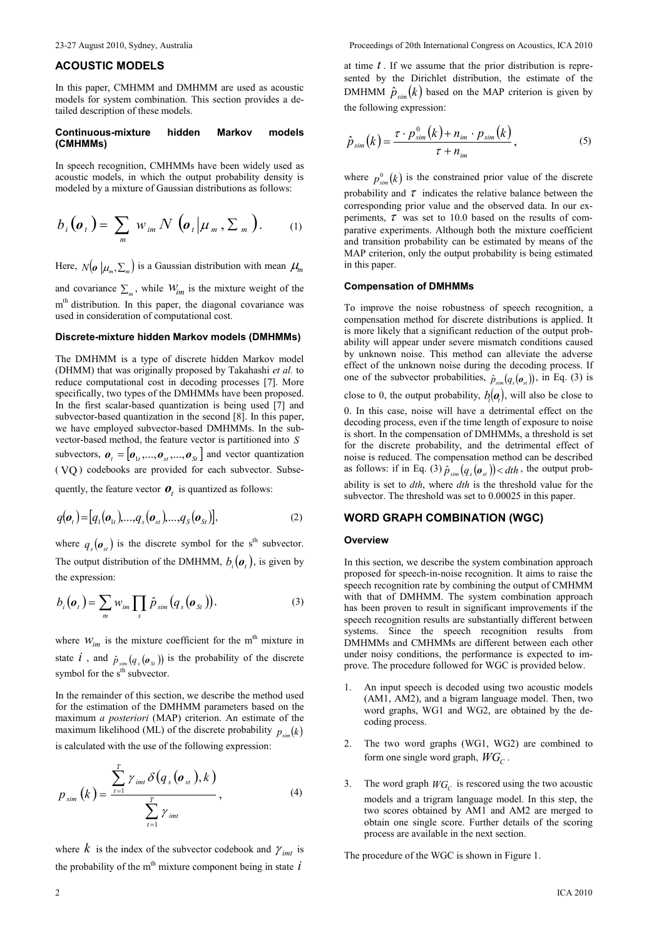## **ACOUSTIC MODELS**

In this paper, CMHMM and DMHMM are used as acoustic models for system combination. This section provides a detailed description of these models.

#### **Continuous-mixture hidden Markov models (CMHMMs)**

In speech recognition, CMHMMs have been widely used as acoustic models, in which the output probability density is modeled by a mixture of Gaussian distributions as follows:

$$
b_i(\boldsymbol{o}_t) = \sum_m w_{im} N(\boldsymbol{o}_t | \boldsymbol{\mu}_m, \boldsymbol{\Sigma}_m).
$$
 (1)

Here,  $N(\boldsymbol{o} \mid \mu_m, \Sigma_m)$  is a Gaussian distribution with mean  $\mu_m$ 

and covariance  $\sum_{m}$ , while  $W_{im}$  is the mixture weight of the m<sup>th</sup> distribution. In this paper, the diagonal covariance was used in consideration of computational cost.

#### **Discrete-mixture hidden Markov models (DMHMMs)**

The DMHMM is a type of discrete hidden Markov model (DHMM) that was originally proposed by Takahashi *et al.* to reduce computational cost in decoding processes [7]. More specifically, two types of the DMHMMs have been proposed. In the first scalar-based quantization is being used [7] and subvector-based quantization in the second [8]. In this paper, we have employed subvector-based DMHMMs. In the subvector-based method, the feature vector is partitioned into *S* subvectors,  $\boldsymbol{\theta}_t = [\boldsymbol{\theta}_{1t}, ..., \boldsymbol{\theta}_{st}, ..., \boldsymbol{\theta}_{St}]$  and vector quantization ( VQ ) codebooks are provided for each subvector. Subse-

quently, the feature vector  $\boldsymbol{o}_t$  is quantized as follows:

$$
q(\boldsymbol{o}_t) = [q_1(\boldsymbol{o}_{1t}),...,q_s(\boldsymbol{o}_{st}),...,q_s(\boldsymbol{o}_{st})],
$$
\n(2)

where  $q_s(\boldsymbol{\mathcal{O}}_{st})$  is the discrete symbol for the s<sup>th</sup> subvector. The output distribution of the DMHMM,  $b_i(\boldsymbol{o}_t)$ , is given by the expression:

$$
b_i(\boldsymbol{o}_t) = \sum_m w_{im} \prod_s \hat{p}_{sim}(q_s(\boldsymbol{o}_{St})), \qquad (3)
$$

where  $W_{im}$  is the mixture coefficient for the m<sup>th</sup> mixture in state  $i$ , and  $\hat{p}_{sim}(q_s(\boldsymbol{\sigma}_{s})$  is the probability of the discrete symbol for the s<sup>th</sup> subvector.

In the remainder of this section, we describe the method used for the estimation of the DMHMM parameters based on the maximum *a posteriori* (MAP) criterion. An estimate of the maximum likelihood (ML) of the discrete probability  $p_{\text{sim}}(k)$ is calculated with the use of the following expression:

$$
p_{sim}(k) = \frac{\sum_{t=1}^{T} \gamma_{imt} \delta(q_s(o_{st}), k)}{\sum_{t=1}^{T} \gamma_{imt}},
$$
\n(4)

where  $k$  is the index of the subvector codebook and  $\gamma_{imt}$  is the probability of the m<sup>th</sup> mixture component being in state  $\hat{i}$ 

at time *t* . If we assume that the prior distribution is represented by the Dirichlet distribution, the estimate of the DMHMM  $\hat{p}_{sim}(k)$  based on the MAP criterion is given by the following expression:

$$
\hat{p}_{sim}(k) = \frac{\tau \cdot p_{sim}^0(k) + n_{im} \cdot p_{sim}(k)}{\tau + n_{im}}\,,\tag{5}
$$

where  $p_{sim}^{0}(k)$  is the constrained prior value of the discrete probability and  $\tau$  indicates the relative balance between the corresponding prior value and the observed data. In our experiments,  $\tau$  was set to 10.0 based on the results of comparative experiments. Although both the mixture coefficient and transition probability can be estimated by means of the MAP criterion, only the output probability is being estimated in this paper.

#### **Compensation of DMHMMs**

To improve the noise robustness of speech recognition, a compensation method for discrete distributions is applied. It is more likely that a significant reduction of the output probability will appear under severe mismatch conditions caused by unknown noise. This method can alleviate the adverse effect of the unknown noise during the decoding process. If one of the subvector probabilities,  $\hat{p}_{sim}(q_s(\boldsymbol{o}_{st}))$ , in Eq. (3) is close to 0, the output probability,  $b_i(\boldsymbol{o}_i)$ , will also be close to 0. In this case, noise will have a detrimental effect on the decoding process, even if the time length of exposure to noise is short. In the compensation of DMHMMs, a threshold is set for the discrete probability, and the detrimental effect of noise is reduced. The compensation method can be described as follows: if in Eq. (3)  $\hat{p}_{sim}(q_s(\boldsymbol{\theta}_{st})) < dth$ , the output probability is set to *dth*, where *dth* is the threshold value for the subvector. The threshold was set to 0.00025 in this paper.

## **WORD GRAPH COMBINATION (WGC)**

## **Overview**

In this section, we describe the system combination approach proposed for speech-in-noise recognition. It aims to raise the speech recognition rate by combining the output of CMHMM with that of DMHMM. The system combination approach has been proven to result in significant improvements if the speech recognition results are substantially different between systems. Since the speech recognition results from DMHMMs and CMHMMs are different between each other under noisy conditions, the performance is expected to improve. The procedure followed for WGC is provided below.

- 1. An input speech is decoded using two acoustic models (AM1, AM2), and a bigram language model. Then, two word graphs, WG1 and WG2, are obtained by the decoding process.
- The two word graphs (WG1, WG2) are combined to form one single word graph, *WG<sup>C</sup>* .
- 3. The word graph  $WG_C$  is rescored using the two acoustic models and a trigram language model. In this step, the two scores obtained by AM1 and AM2 are merged to obtain one single score. Further details of the scoring process are available in the next section.

The procedure of the WGC is shown in Figure 1.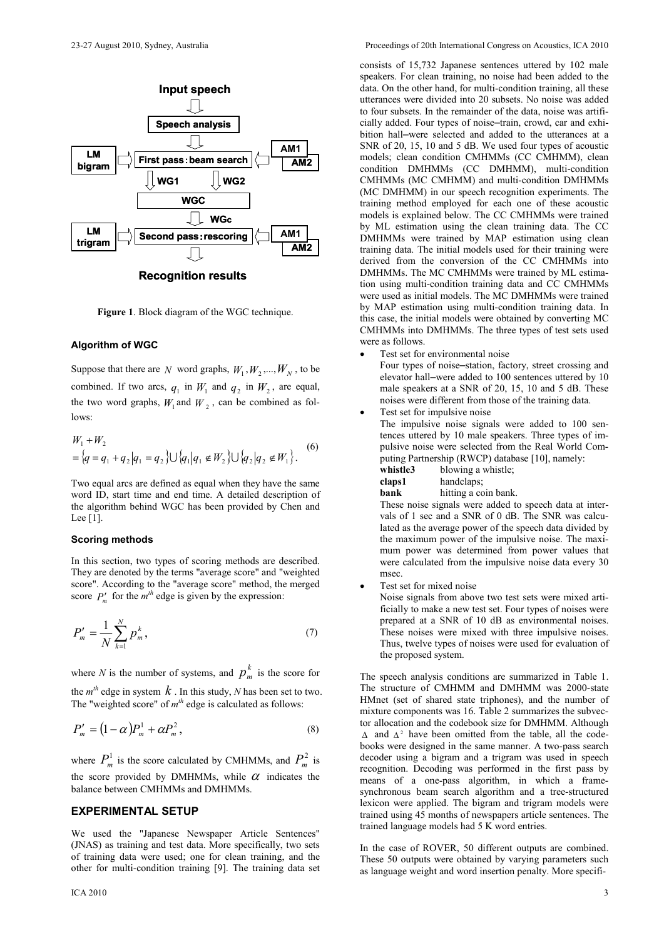

**Recognition results**

**Figure 1**. Block diagram of the WGC technique.

#### **Algorithm of WGC**

Suppose that there are *N* word graphs,  $W_1, W_2, ..., W_N$ , to be combined. If two arcs,  $q_1$  in  $W_1$  and  $q_2$  in  $W_2$ , are equal, the two word graphs,  $W_1$  and  $W_2$ , can be combined as follows:

$$
W_1 + W_2
$$
  
= { $q = q_1 + q_2 | q_1 = q_2$ }  $\bigcup$  { $q_1 | q_1 \notin W_2$ }  $\bigcup$  { $q_2 | q_2 \notin W_1$  }. (6)

Two equal arcs are defined as equal when they have the same word ID, start time and end time. A detailed description of the algorithm behind WGC has been provided by Chen and Lee [1].

#### **Scoring methods**

In this section, two types of scoring methods are described. They are denoted by the terms "average score" and "weighted score". According to the "average score" method, the merged score  $P'_m$  for the  $m^{th}$  edge is given by the expression:

$$
P'_{m} = \frac{1}{N} \sum_{k=1}^{N} p_{m}^{k},
$$
\n(7)

where *N* is the number of systems, and  $p_m^k$  is the score for the  $m<sup>th</sup>$  edge in system  $k$ . In this study,  $N$  has been set to two. The "weighted score" of  $m<sup>th</sup>$  edge is calculated as follows:

$$
P'_m = (1 - \alpha)P^1_m + \alpha P^2_m, \qquad (8)
$$

where  $P_m^1$  is the score calculated by CMHMMs, and  $P_m^2$  is the score provided by DMHMMs, while  $\alpha$  indicates the balance between CMHMMs and DMHMMs.

## **EXPERIMENTAL SETUP**

We used the "Japanese Newspaper Article Sentences" (JNAS) as training and test data. More specifically, two sets of training data were used; one for clean training, and the other for multi-condition training [9]. The training data set

consists of 15,732 Japanese sentences uttered by 102 male speakers. For clean training, no noise had been added to the data. On the other hand, for multi-condition training, all these utterances were divided into 20 subsets. No noise was added to four subsets. In the remainder of the data, noise was artificially added. Four types of noise–train, crowd, car and exhibition hall–were selected and added to the utterances at a SNR of 20, 15, 10 and 5 dB. We used four types of acoustic models; clean condition CMHMMs (CC CMHMM), clean condition DMHMMs (CC DMHMM), multi-condition CMHMMs (MC CMHMM) and multi-condition DMHMMs (MC DMHMM) in our speech recognition experiments. The training method employed for each one of these acoustic models is explained below. The CC CMHMMs were trained by ML estimation using the clean training data. The CC DMHMMs were trained by MAP estimation using clean training data. The initial models used for their training were derived from the conversion of the CC CMHMMs into DMHMMs. The MC CMHMMs were trained by ML estimation using multi-condition training data and CC CMHMMs were used as initial models. The MC DMHMMs were trained by MAP estimation using multi-condition training data. In this case, the initial models were obtained by converting MC CMHMMs into DMHMMs. The three types of test sets used were as follows.

Test set for environmental noise Four types of noise–station, factory, street crossing and

elevator hall–were added to 100 sentences uttered by 10 male speakers at a SNR of 20, 15, 10 and 5 dB. These noises were different from those of the training data.

Test set for impulsive noise The impulsive noise signals were added to 100 sen-

tences uttered by 10 male speakers. Three types of impulsive noise were selected from the Real World Computing Partnership (RWCP) database [10], namely:

**whistle3** blowing a whistle;

| claps1 | handclaps; |
|--------|------------|

**bank** hitting a coin bank.

These noise signals were added to speech data at intervals of 1 sec and a SNR of 0 dB. The SNR was calculated as the average power of the speech data divided by the maximum power of the impulsive noise. The maximum power was determined from power values that were calculated from the impulsive noise data every 30 msec.

Test set for mixed noise

Noise signals from above two test sets were mixed artificially to make a new test set. Four types of noises were prepared at a SNR of 10 dB as environmental noises. These noises were mixed with three impulsive noises. Thus, twelve types of noises were used for evaluation of the proposed system.

The speech analysis conditions are summarized in Table 1. The structure of CMHMM and DMHMM was 2000-state HMnet (set of shared state triphones), and the number of mixture components was 16. Table 2 summarizes the subvector allocation and the codebook size for DMHMM. Although ∆ and  $\Delta^2$  have been omitted from the table, all the codebooks were designed in the same manner. A two-pass search decoder using a bigram and a trigram was used in speech recognition. Decoding was performed in the first pass by means of a one-pass algorithm, in which a framesynchronous beam search algorithm and a tree-structured lexicon were applied. The bigram and trigram models were trained using 45 months of newspapers article sentences. The trained language models had 5 K word entries.

In the case of ROVER, 50 different outputs are combined. These 50 outputs were obtained by varying parameters such as language weight and word insertion penalty. More specifi-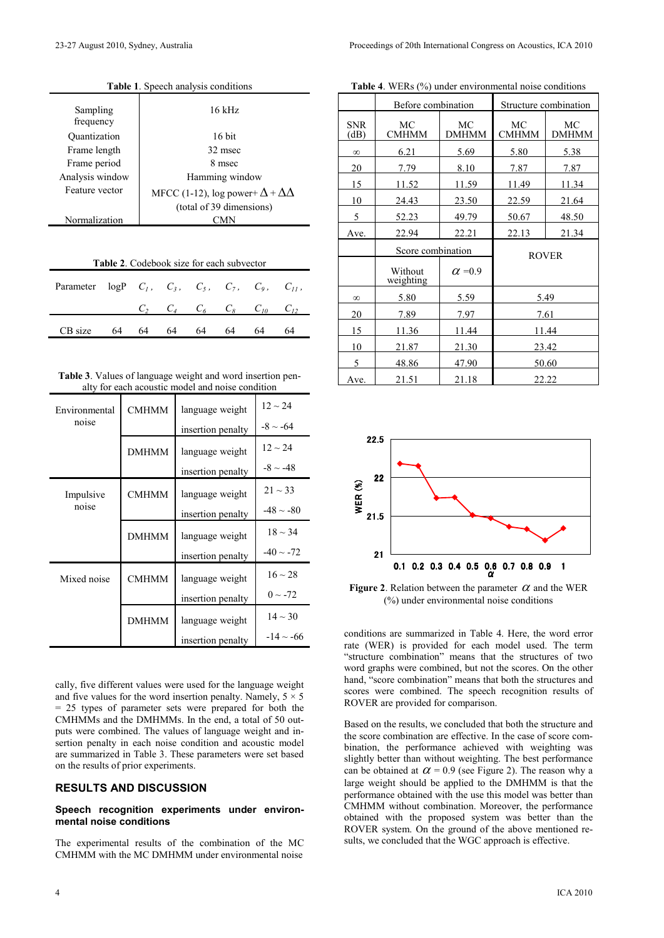| <b>Table 1.</b> Speech analysis conditions |                                                                             |  |  |
|--------------------------------------------|-----------------------------------------------------------------------------|--|--|
| Sampling<br>frequency                      | $16$ kHz                                                                    |  |  |
| Quantization                               | $16$ bit                                                                    |  |  |
| Frame length                               | 32 msec                                                                     |  |  |
| Frame period                               | 8 msec                                                                      |  |  |
| Analysis window                            | Hamming window                                                              |  |  |
| Feature vector                             | MFCC (1-12), log power+ $\Delta + \Delta\Delta$<br>(total of 39 dimensions) |  |  |
| Normalization                              |                                                                             |  |  |
|                                            |                                                                             |  |  |

| <b>Table 2.</b> Codebook size for each subvector                    |    |    |    |    |                                           |    |    |
|---------------------------------------------------------------------|----|----|----|----|-------------------------------------------|----|----|
| Parameter $logP$ $C_1$ , $C_3$ , $C_5$ , $C_7$ , $C_9$ , $C_{11}$ , |    |    |    |    |                                           |    |    |
|                                                                     |    |    |    |    | $C_2 \tC_4 \tC_6 \tC_8 \tC_{10} \tC_{12}$ |    |    |
| CB size                                                             | 64 | 64 | 64 | 64 | 64.                                       | 64 | 64 |
|                                                                     |    |    |    |    |                                           |    |    |

**Table 3**. Values of language weight and word insertion penalty for each acoustic model and noise condition

| Environmental | <b>CMHMM</b> | language weight   | $12 \sim 24$   |
|---------------|--------------|-------------------|----------------|
| noise         |              | insertion penalty | $-8 \sim -64$  |
|               | <b>DMHMM</b> | language weight   | $12 \sim 24$   |
|               |              | insertion penalty | $-8 \sim -48$  |
| Impulsive     | <b>CMHMM</b> | language weight   | $21 \sim 33$   |
| noise         |              | insertion penalty | $-48 \sim -80$ |
|               | <b>DMHMM</b> | language weight   | $18 \sim 34$   |
|               |              | insertion penalty | $-40 \sim -72$ |
| Mixed noise   | <b>CMHMM</b> | language weight   | $16 \sim 28$   |
|               |              | insertion penalty | $0 \sim -72$   |
|               | <b>DMHMM</b> | language weight   | $14 \sim 30$   |
|               |              | insertion penalty | $-14 \sim -66$ |

cally, five different values were used for the language weight and five values for the word insertion penalty. Namely,  $5 \times 5$ = 25 types of parameter sets were prepared for both the CMHMMs and the DMHMMs. In the end, a total of 50 outputs were combined. The values of language weight and insertion penalty in each noise condition and acoustic model are summarized in Table 3. These parameters were set based on the results of prior experiments.

## **RESULTS AND DISCUSSION**

### **Speech recognition experiments under environmental noise conditions**

The experimental results of the combination of the MC CMHMM with the MC DMHMM under environmental noise

|                    | Before combination   |                    |                    | Structure combination |
|--------------------|----------------------|--------------------|--------------------|-----------------------|
| <b>SNR</b><br>(dB) | MC<br><b>CMHMM</b>   | MC<br><b>DMHMM</b> | MC<br><b>CMHMM</b> | МC<br><b>DMHMM</b>    |
| $\infty$           | 6.21                 | 5.69               | 5.80               | 5.38                  |
| 20                 | 7.79                 | 8.10               | 7.87               | 7.87                  |
| 15                 | 11.52                | 11.59              | 11.49              | 11.34                 |
| 10                 | 24.43                | 23.50              | 22.59              | 21.64                 |
| 5                  | 52.23                | 49.79              | 50.67              | 48.50                 |
| Ave.               | 22.94                | 22.21              | 22.13              | 21.34                 |
|                    | Score combination    |                    | <b>ROVER</b>       |                       |
|                    | Without<br>weighting | $\alpha = 0.9$     |                    |                       |
| $\infty$           | 5.80<br>5.59         |                    |                    | 5.49                  |
| 20                 | 7.89                 | 7.97               | 7.61               |                       |
| 15                 | 11.36                | 11.44              | 11.44              |                       |
| 10                 | 21.87                | 21.30              | 23.42              |                       |
| 5                  | 48.86<br>47.90       |                    | 50.60              |                       |
|                    |                      |                    |                    |                       |



**Figure 2.** Relation between the parameter  $\alpha$  and the WER (%) under environmental noise conditions

conditions are summarized in Table 4. Here, the word error rate (WER) is provided for each model used. The term "structure combination" means that the structures of two word graphs were combined, but not the scores. On the other hand, "score combination" means that both the structures and scores were combined. The speech recognition results of ROVER are provided for comparison.

Based on the results, we concluded that both the structure and the score combination are effective. In the case of score combination, the performance achieved with weighting was slightly better than without weighting. The best performance can be obtained at  $\alpha$  = 0.9 (see Figure 2). The reason why a large weight should be applied to the DMHMM is that the performance obtained with the use this model was better than CMHMM without combination. Moreover, the performance obtained with the proposed system was better than the ROVER system. On the ground of the above mentioned results, we concluded that the WGC approach is effective.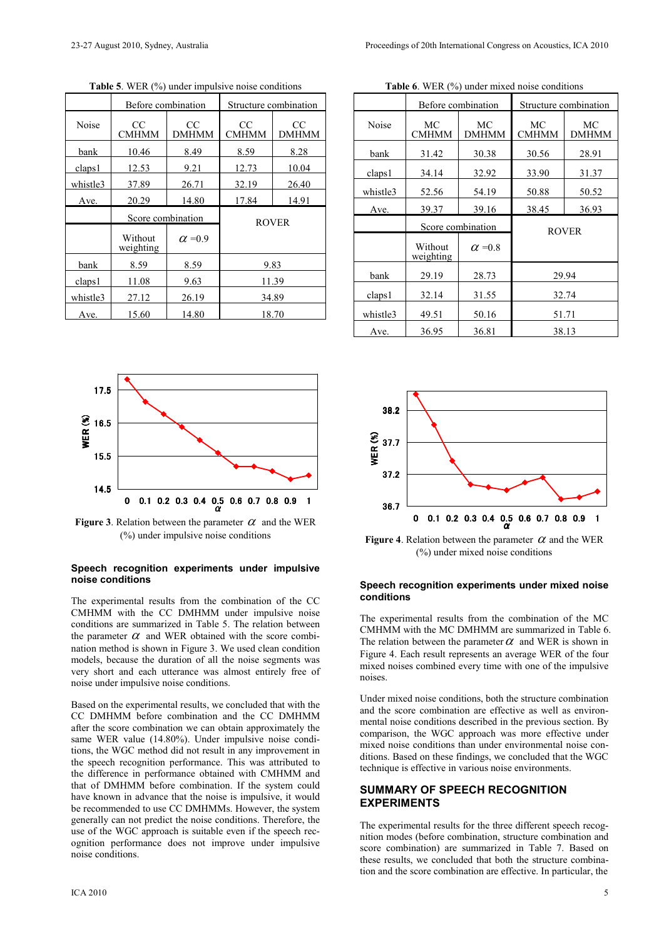|          | Before combination   |                    | Structure combination |                    |  |
|----------|----------------------|--------------------|-----------------------|--------------------|--|
| Noise    | CC<br><b>CMHMM</b>   | CC<br><b>DMHMM</b> | CC<br>CMHMM           | CC<br><b>DMHMM</b> |  |
| bank     | 10.46                | 8.49               | 8.59                  | 8.28               |  |
| claps1   | 12.53                | 9.21               | 12.73                 | 10.04              |  |
| whistle3 | 37.89                | 26.71              | 32.19                 | 26.40              |  |
| Ave.     | 20.29                | 14.80              | 17.84                 | 14.91              |  |
|          | Score combination    |                    | <b>ROVER</b>          |                    |  |
|          | Without<br>weighting | $\alpha = 0.9$     |                       |                    |  |
| bank     | 8.59                 | 8.59               | 9.83                  |                    |  |
| claps1   | 11.08                | 9.63               | 11.39                 |                    |  |
| whistle3 | 27.12                | 26.19              | 34.89                 |                    |  |
| Ave.     | 15.60                | 14.80              |                       | 18.70              |  |

**Table 5**. WER (%) under impulsive noise conditions



**Figure 3**. Relation between the parameter  $\alpha$  and the WER (%) under impulsive noise conditions

#### **Speech recognition experiments under impulsive noise conditions**

The experimental results from the combination of the CC CMHMM with the CC DMHMM under impulsive noise conditions are summarized in Table 5. The relation between the parameter  $\alpha$  and WER obtained with the score combination method is shown in Figure 3. We used clean condition models, because the duration of all the noise segments was very short and each utterance was almost entirely free of noise under impulsive noise conditions.

Based on the experimental results, we concluded that with the CC DMHMM before combination and the CC DMHMM after the score combination we can obtain approximately the same WER value (14.80%). Under impulsive noise conditions, the WGC method did not result in any improvement in the speech recognition performance. This was attributed to the difference in performance obtained with CMHMM and that of DMHMM before combination. If the system could have known in advance that the noise is impulsive, it would be recommended to use CC DMHMMs. However, the system generally can not predict the noise conditions. Therefore, the use of the WGC approach is suitable even if the speech recognition performance does not improve under impulsive noise conditions.

|          | Before combination   |                | Structure combination |                    |
|----------|----------------------|----------------|-----------------------|--------------------|
| Noise    | MC<br><b>CMHMM</b>   | MC<br>DMHMM    | MC<br><b>CMHMM</b>    | MC<br><b>DMHMM</b> |
| bank     | 31.42                | 30.38          | 30.56                 | 28.91              |
| claps1   | 34.14                | 32.92          | 33.90                 | 31.37              |
| whistle3 | 52.56                | 54.19          | 50.88                 | 50.52              |
| Ave.     | 39.37                | 39.16          | 38.45                 | 36.93              |
|          | Score combination    |                | <b>ROVER</b>          |                    |
|          | Without<br>weighting | $\alpha = 0.8$ |                       |                    |
| bank     | 29.19                | 28.73          | 29.94                 |                    |
| claps1   | 32.14                | 31.55          | 32.74                 |                    |
| whistle3 | 49.51                | 50.16          | 51.71                 |                    |
|          | 36.95<br>36.81       |                | 38.13                 |                    |





**Figure 4**. Relation between the parameter  $\alpha$  and the WER (%) under mixed noise conditions

#### **Speech recognition experiments under mixed noise conditions**

The experimental results from the combination of the MC CMHMM with the MC DMHMM are summarized in Table 6. The relation between the parameter  $\alpha$  and WER is shown in Figure 4. Each result represents an average WER of the four mixed noises combined every time with one of the impulsive noises.

Under mixed noise conditions, both the structure combination and the score combination are effective as well as environmental noise conditions described in the previous section. By comparison, the WGC approach was more effective under mixed noise conditions than under environmental noise conditions. Based on these findings, we concluded that the WGC technique is effective in various noise environments.

## **SUMMARY OF SPEECH RECOGNITION EXPERIMENTS**

The experimental results for the three different speech recognition modes (before combination, structure combination and score combination) are summarized in Table 7. Based on these results, we concluded that both the structure combination and the score combination are effective. In particular, the